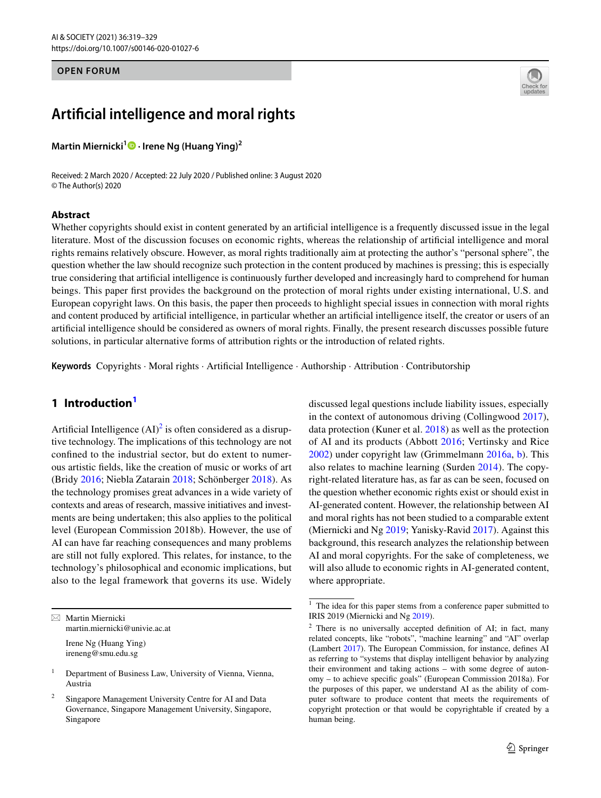## **OPEN FORUM**

# **Artifcial intelligence and moral rights**

**Martin Miernicki[1](https://orcid.org/0000-0003-2672-1087) · Irene Ng (Huang Ying)<sup>2</sup>**

Received: 2 March 2020 / Accepted: 22 July 2020 / Published online: 3 August 2020 © The Author(s) 2020

### **Abstract**



Whether copyrights should exist in content generated by an artifcial intelligence is a frequently discussed issue in the legal literature. Most of the discussion focuses on economic rights, whereas the relationship of artifcial intelligence and moral rights remains relatively obscure. However, as moral rights traditionally aim at protecting the author's "personal sphere", the question whether the law should recognize such protection in the content produced by machines is pressing; this is especially true considering that artifcial intelligence is continuously further developed and increasingly hard to comprehend for human beings. This paper frst provides the background on the protection of moral rights under existing international, U.S. and European copyright laws. On this basis, the paper then proceeds to highlight special issues in connection with moral rights and content produced by artifcial intelligence, in particular whether an artifcial intelligence itself, the creator or users of an artifcial intelligence should be considered as owners of moral rights. Finally, the present research discusses possible future solutions, in particular alternative forms of attribution rights or the introduction of related rights.

**Keywords** Copyrights · Moral rights · Artifcial Intelligence · Authorship · Attribution · Contributorship

## **1 Introductio[n1](#page-0-0)**

Artificial Intelligence  $(AI)^2$  $(AI)^2$  is often considered as a disruptive technology. The implications of this technology are not confned to the industrial sector, but do extent to numerous artistic felds, like the creation of music or works of art (Bridy [2016](#page-8-0); Niebla Zatarain [2018](#page-9-0); Schönberger [2018\)](#page-10-0). As the technology promises great advances in a wide variety of contexts and areas of research, massive initiatives and investments are being undertaken; this also applies to the political level (European Commission 2018b). However, the use of AI can have far reaching consequences and many problems are still not fully explored. This relates, for instance, to the technology's philosophical and economic implications, but also to the legal framework that governs its use. Widely

 $\boxtimes$  Martin Miernicki martin.miernicki@univie.ac.at

> Irene Ng (Huang Ying) ireneng@smu.edu.sg

discussed legal questions include liability issues, especially in the context of autonomous driving (Collingwood [2017](#page-8-1)), data protection (Kuner et al. [2018\)](#page-9-1) as well as the protection of AI and its products (Abbott [2016;](#page-8-2) Vertinsky and Rice [2002](#page-10-1)) under copyright law (Grimmelmann [2016a](#page-9-2), [b\)](#page-9-3). This also relates to machine learning (Surden [2014](#page-10-2)). The copyright-related literature has, as far as can be seen, focused on the question whether economic rights exist or should exist in AI-generated content. However, the relationship between AI and moral rights has not been studied to a comparable extent (Miernicki and Ng [2019](#page-9-4); Yanisky-Ravid [2017\)](#page-10-3). Against this background, this research analyzes the relationship between AI and moral copyrights. For the sake of completeness, we will also allude to economic rights in AI-generated content, where appropriate.

<sup>&</sup>lt;sup>1</sup> Department of Business Law, University of Vienna, Vienna, Austria

Singapore Management University Centre for AI and Data Governance, Singapore Management University, Singapore, Singapore

<span id="page-0-0"></span><sup>&</sup>lt;sup>1</sup> The idea for this paper stems from a conference paper submitted to IRIS 2019 (Miernicki and Ng [2019\)](#page-9-4).

<span id="page-0-1"></span><sup>2</sup> There is no universally accepted defnition of AI; in fact, many related concepts, like "robots", "machine learning" and "AI" overlap (Lambert [2017\)](#page-9-5). The European Commission, for instance, defnes AI as referring to "systems that display intelligent behavior by analyzing their environment and taking actions – with some degree of autonomy – to achieve specifc goals" (European Commission 2018a). For the purposes of this paper, we understand AI as the ability of computer software to produce content that meets the requirements of copyright protection or that would be copyrightable if created by a human being.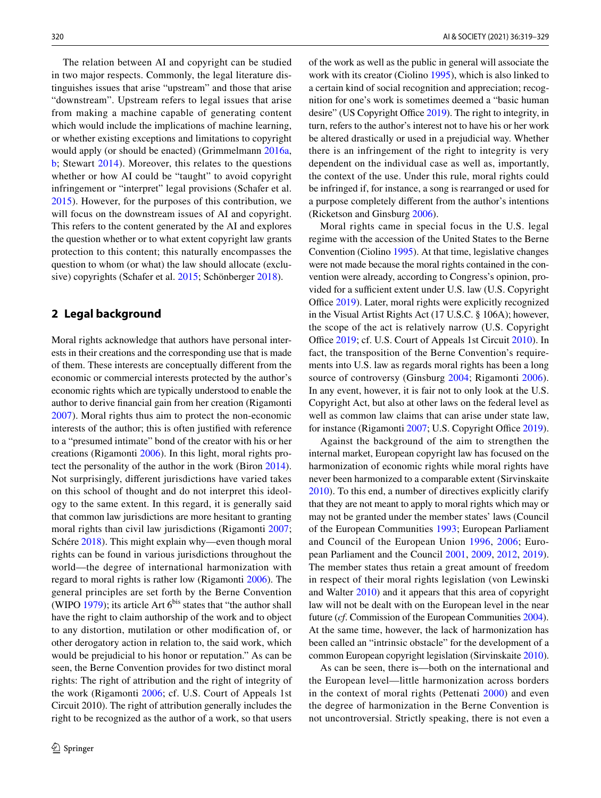The relation between AI and copyright can be studied in two major respects. Commonly, the legal literature distinguishes issues that arise "upstream" and those that arise "downstream". Upstream refers to legal issues that arise from making a machine capable of generating content which would include the implications of machine learning, or whether existing exceptions and limitations to copyright would apply (or should be enacted) (Grimmelmann [2016a,](#page-9-2) [b](#page-9-3); Stewart [2014\)](#page-10-4). Moreover, this relates to the questions whether or how AI could be "taught" to avoid copyright infringement or "interpret" legal provisions (Schafer et al. [2015\)](#page-10-5). However, for the purposes of this contribution, we will focus on the downstream issues of AI and copyright. This refers to the content generated by the AI and explores the question whether or to what extent copyright law grants protection to this content; this naturally encompasses the question to whom (or what) the law should allocate (exclusive) copyrights (Schafer et al. [2015;](#page-10-5) Schönberger [2018](#page-10-0)).

## **2 Legal background**

Moral rights acknowledge that authors have personal interests in their creations and the corresponding use that is made of them. These interests are conceptually diferent from the economic or commercial interests protected by the author's economic rights which are typically understood to enable the author to derive fnancial gain from her creation (Rigamonti [2007](#page-10-6)). Moral rights thus aim to protect the non-economic interests of the author; this is often justifed with reference to a "presumed intimate" bond of the creator with his or her creations (Rigamonti [2006](#page-10-7)). In this light, moral rights protect the personality of the author in the work (Biron [2014](#page-8-3)). Not surprisingly, diferent jurisdictions have varied takes on this school of thought and do not interpret this ideology to the same extent. In this regard, it is generally said that common law jurisdictions are more hesitant to granting moral rights than civil law jurisdictions (Rigamonti [2007](#page-10-6); Schére [2018\)](#page-10-8). This might explain why—even though moral rights can be found in various jurisdictions throughout the world—the degree of international harmonization with regard to moral rights is rather low (Rigamonti [2006\)](#page-10-7). The general principles are set forth by the Berne Convention (WIPO [1979](#page-10-9)); its article Art  $6<sup>bis</sup>$  states that "the author shall have the right to claim authorship of the work and to object to any distortion, mutilation or other modifcation of, or other derogatory action in relation to, the said work, which would be prejudicial to his honor or reputation." As can be seen, the Berne Convention provides for two distinct moral rights: The right of attribution and the right of integrity of the work (Rigamonti [2006](#page-10-7); cf. U.S. Court of Appeals 1st Circuit 2010). The right of attribution generally includes the right to be recognized as the author of a work, so that users of the work as well as the public in general will associate the work with its creator (Ciolino [1995\)](#page-8-4), which is also linked to a certain kind of social recognition and appreciation; recognition for one's work is sometimes deemed a "basic human desire" (US Copyright Office [2019\)](#page-10-10). The right to integrity, in turn, refers to the author's interest not to have his or her work be altered drastically or used in a prejudicial way. Whether there is an infringement of the right to integrity is very dependent on the individual case as well as, importantly, the context of the use. Under this rule, moral rights could be infringed if, for instance, a song is rearranged or used for a purpose completely diferent from the author's intentions (Ricketson and Ginsburg [2006](#page-10-11)).

Moral rights came in special focus in the U.S. legal regime with the accession of the United States to the Berne Convention (Ciolino [1995\)](#page-8-4). At that time, legislative changes were not made because the moral rights contained in the convention were already, according to Congress's opinion, provided for a sufficient extent under U.S. law (U.S. Copyright Office [2019](#page-10-10)). Later, moral rights were explicitly recognized in the Visual Artist Rights Act (17 U.S.C. § 106A); however, the scope of the act is relatively narrow (U.S. Copyright Office [2019](#page-10-10); cf. U.S. Court of Appeals 1st Circuit [2010\)](#page-10-12). In fact, the transposition of the Berne Convention's requirements into U.S. law as regards moral rights has been a long source of controversy (Ginsburg [2004;](#page-9-6) Rigamonti [2006](#page-10-7)). In any event, however, it is fair not to only look at the U.S. Copyright Act, but also at other laws on the federal level as well as common law claims that can arise under state law, for instance (Rigamonti [2007](#page-10-6); U.S. Copyright Office [2019](#page-10-10)).

Against the background of the aim to strengthen the internal market, European copyright law has focused on the harmonization of economic rights while moral rights have never been harmonized to a comparable extent (Sirvinskaite [2010](#page-10-13)). To this end, a number of directives explicitly clarify that they are not meant to apply to moral rights which may or may not be granted under the member states' laws (Council of the European Communities [1993;](#page-9-7) European Parliament and Council of the European Union [1996](#page-9-8), [2006;](#page-9-9) European Parliament and the Council [2001,](#page-9-10) [2009](#page-9-11), [2012,](#page-9-12) [2019](#page-9-13)). The member states thus retain a great amount of freedom in respect of their moral rights legislation (von Lewinski and Walter [2010](#page-10-14)) and it appears that this area of copyright law will not be dealt with on the European level in the near future (*cf*. Commission of the European Communities [2004](#page-8-5)). At the same time, however, the lack of harmonization has been called an "intrinsic obstacle" for the development of a common European copyright legislation (Sirvinskaite [2010](#page-10-13)).

As can be seen, there is—both on the international and the European level—little harmonization across borders in the context of moral rights (Pettenati [2000\)](#page-10-15) and even the degree of harmonization in the Berne Convention is not uncontroversial. Strictly speaking, there is not even a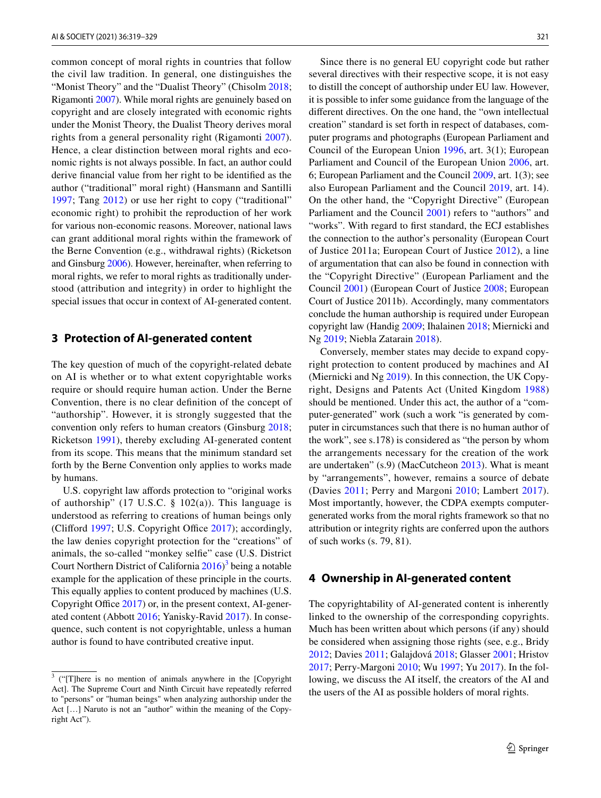common concept of moral rights in countries that follow the civil law tradition. In general, one distinguishes the "Monist Theory" and the "Dualist Theory" (Chisolm [2018](#page-8-6); Rigamonti [2007\)](#page-10-6). While moral rights are genuinely based on copyright and are closely integrated with economic rights under the Monist Theory, the Dualist Theory derives moral rights from a general personality right (Rigamonti [2007](#page-10-6)). Hence, a clear distinction between moral rights and economic rights is not always possible. In fact, an author could derive fnancial value from her right to be identifed as the author ("traditional" moral right) (Hansmann and Santilli [1997;](#page-9-14) Tang [2012\)](#page-10-16) or use her right to copy ("traditional" economic right) to prohibit the reproduction of her work for various non-economic reasons. Moreover, national laws can grant additional moral rights within the framework of the Berne Convention (e.g., withdrawal rights) (Ricketson and Ginsburg [2006](#page-10-11)). However, hereinafter, when referring to moral rights, we refer to moral rights as traditionally understood (attribution and integrity) in order to highlight the special issues that occur in context of AI-generated content.

## **3 Protection of AI‑generated content**

The key question of much of the copyright-related debate on AI is whether or to what extent copyrightable works require or should require human action. Under the Berne Convention, there is no clear defnition of the concept of "authorship". However, it is strongly suggested that the convention only refers to human creators (Ginsburg [2018](#page-9-15); Ricketson [1991](#page-10-17)), thereby excluding AI-generated content from its scope. This means that the minimum standard set forth by the Berne Convention only applies to works made by humans.

U.S. copyright law affords protection to "original works" of authorship" (17 U.S.C.  $\S$  102(a)). This language is understood as referring to creations of human beings only (Clifford [1997](#page-8-7); U.S. Copyright Office  $2017$ ); accordingly, the law denies copyright protection for the "creations" of animals, the so-called "monkey selfe" case (U.S. District Court Northern District of California  $2016$ <sup>[3](#page-2-0)</sup> being a notable example for the application of these principle in the courts. This equally applies to content produced by machines (U.S. Copyright Office [2017](#page-10-18)) or, in the present context, AI-generated content (Abbott [2016](#page-8-2); Yanisky-Ravid [2017\)](#page-10-3). In consequence, such content is not copyrightable, unless a human author is found to have contributed creative input.

Since there is no general EU copyright code but rather several directives with their respective scope, it is not easy to distill the concept of authorship under EU law. However, it is possible to infer some guidance from the language of the diferent directives. On the one hand, the "own intellectual creation" standard is set forth in respect of databases, computer programs and photographs (European Parliament and Council of the European Union [1996,](#page-9-8) art. 3(1); European Parliament and Council of the European Union [2006,](#page-9-9) art. 6; European Parliament and the Council [2009,](#page-9-11) art. 1(3); see also European Parliament and the Council [2019,](#page-9-13) art. 14). On the other hand, the "Copyright Directive" (European Parliament and the Council [2001](#page-9-10)) refers to "authors" and "works". With regard to frst standard, the ECJ establishes the connection to the author's personality (European Court of Justice 2011a; European Court of Justice [2012](#page-9-16)), a line of argumentation that can also be found in connection with the "Copyright Directive" (European Parliament and the Council [2001](#page-9-10)) (European Court of Justice [2008;](#page-9-17) European Court of Justice 2011b). Accordingly, many commentators conclude the human authorship is required under European copyright law (Handig [2009](#page-9-18); Ihalainen [2018](#page-9-19); Miernicki and Ng [2019](#page-9-4); Niebla Zatarain [2018](#page-9-0)).

Conversely, member states may decide to expand copyright protection to content produced by machines and AI (Miernicki and Ng [2019\)](#page-9-4). In this connection, the UK Copyright, Designs and Patents Act (United Kingdom [1988](#page-10-20)) should be mentioned. Under this act, the author of a "computer-generated" work (such a work "is generated by computer in circumstances such that there is no human author of the work", see s.178) is considered as "the person by whom the arrangements necessary for the creation of the work are undertaken" (s.9) (MacCutcheon [2013](#page-9-20)). What is meant by "arrangements", however, remains a source of debate (Davies [2011](#page-9-21); Perry and Margoni [2010;](#page-10-21) Lambert [2017](#page-9-5)). Most importantly, however, the CDPA exempts computergenerated works from the moral rights framework so that no attribution or integrity rights are conferred upon the authors of such works (s. 79, 81).

## **4 Ownership in AI‑generated content**

The copyrightability of AI-generated content is inherently linked to the ownership of the corresponding copyrights. Much has been written about which persons (if any) should be considered when assigning those rights (see, e.g., Bridy [2012](#page-8-8); Davies [2011;](#page-9-21) Galajdová [2018;](#page-9-22) Glasser [2001;](#page-9-23) Hristov [2017](#page-9-24); Perry-Margoni [2010](#page-10-21); Wu [1997](#page-10-22); Yu [2017\)](#page-10-23). In the following, we discuss the AI itself, the creators of the AI and the users of the AI as possible holders of moral rights.

<span id="page-2-0"></span><sup>&</sup>lt;sup>3</sup> ("[T]here is no mention of animals anywhere in the [Copyright Act]. The Supreme Court and Ninth Circuit have repeatedly referred to "persons" or "human beings" when analyzing authorship under the Act […] Naruto is not an "author" within the meaning of the Copyright Act").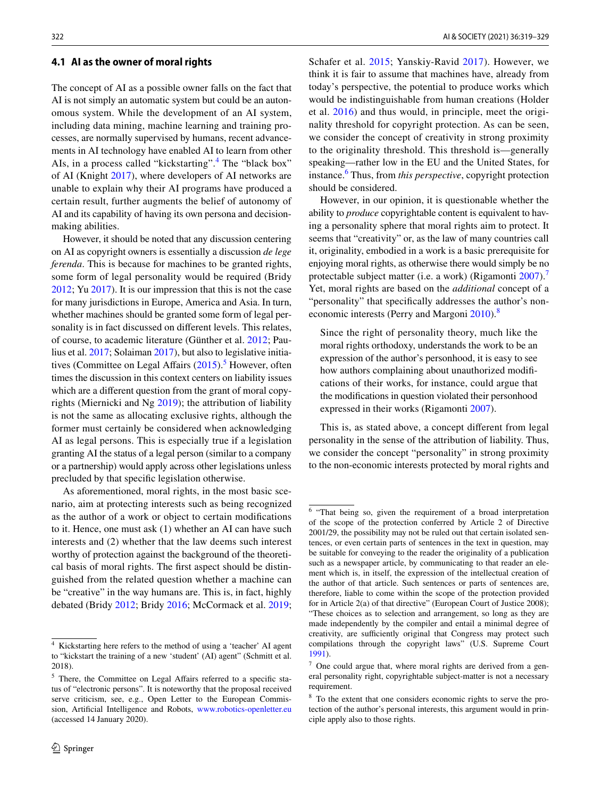#### **4.1 AI as the owner of moral rights**

The concept of AI as a possible owner falls on the fact that AI is not simply an automatic system but could be an autonomous system. While the development of an AI system, including data mining, machine learning and training processes, are normally supervised by humans, recent advancements in AI technology have enabled AI to learn from other AIs, in a process called "kickstarting".<sup>[4](#page-3-0)</sup> The "black box" of AI (Knight [2017](#page-9-25)), where developers of AI networks are unable to explain why their AI programs have produced a certain result, further augments the belief of autonomy of AI and its capability of having its own persona and decisionmaking abilities.

However, it should be noted that any discussion centering on AI as copyright owners is essentially a discussion *de lege ferenda*. This is because for machines to be granted rights, some form of legal personality would be required (Bridy [2012](#page-8-8); Yu [2017](#page-10-23)). It is our impression that this is not the case for many jurisdictions in Europe, America and Asia. In turn, whether machines should be granted some form of legal personality is in fact discussed on diferent levels. This relates, of course, to academic literature (Günther et al. [2012](#page-9-26); Paulius et al. [2017](#page-10-24); Solaiman [2017](#page-10-25)), but also to legislative initia-tives (Committee on Legal Affairs [\(2015](#page-8-9)).<sup>[5](#page-3-1)</sup> However, often times the discussion in this context centers on liability issues which are a diferent question from the grant of moral copyrights (Miernicki and Ng [2019](#page-9-4)); the attribution of liability is not the same as allocating exclusive rights, although the former must certainly be considered when acknowledging AI as legal persons. This is especially true if a legislation granting AI the status of a legal person (similar to a company or a partnership) would apply across other legislations unless precluded by that specifc legislation otherwise.

As aforementioned, moral rights, in the most basic scenario, aim at protecting interests such as being recognized as the author of a work or object to certain modifcations to it. Hence, one must ask (1) whether an AI can have such interests and (2) whether that the law deems such interest worthy of protection against the background of the theoretical basis of moral rights. The frst aspect should be distinguished from the related question whether a machine can be "creative" in the way humans are. This is, in fact, highly debated (Bridy [2012](#page-8-8); Bridy [2016;](#page-8-0) McCormack et al. [2019](#page-9-27);

Schafer et al. [2015;](#page-10-5) Yanskiy-Ravid [2017\)](#page-10-3). However, we think it is fair to assume that machines have, already from today's perspective, the potential to produce works which would be indistinguishable from human creations (Holder et al. [2016\)](#page-9-28) and thus would, in principle, meet the originality threshold for copyright protection. As can be seen, we consider the concept of creativity in strong proximity to the originality threshold. This threshold is—generally speaking—rather low in the EU and the United States, for instance.<sup>[6](#page-3-2)</sup> Thus, from *this perspective*, copyright protection should be considered.

However, in our opinion, it is questionable whether the ability to *produce* copyrightable content is equivalent to having a personality sphere that moral rights aim to protect. It seems that "creativity" or, as the law of many countries call it, originality, embodied in a work is a basic prerequisite for enjoying moral rights, as otherwise there would simply be no protectable subject matter (i.e. a work) (Rigamonti [2007\)](#page-10-6).<sup>[7](#page-3-3)</sup> Yet, moral rights are based on the *additional* concept of a "personality" that specifcally addresses the author's non-economic interests (Perry and Margoni [2010](#page-10-21)).<sup>[8](#page-3-4)</sup>

Since the right of personality theory, much like the moral rights orthodoxy, understands the work to be an expression of the author's personhood, it is easy to see how authors complaining about unauthorized modifcations of their works, for instance, could argue that the modifcations in question violated their personhood expressed in their works (Rigamonti [2007](#page-10-6)).

This is, as stated above, a concept diferent from legal personality in the sense of the attribution of liability. Thus, we consider the concept "personality" in strong proximity to the non-economic interests protected by moral rights and

<span id="page-3-0"></span><sup>4</sup> Kickstarting here refers to the method of using a 'teacher' AI agent to "kickstart the training of a new 'student' (AI) agent" (Schmitt et al. 2018).

<span id="page-3-1"></span><sup>&</sup>lt;sup>5</sup> There, the Committee on Legal Affairs referred to a specific status of "electronic persons". It is noteworthy that the proposal received serve criticism, see, e.g., Open Letter to the European Commission, Artifcial Intelligence and Robots, [www.robotics-openletter.eu](http://www.robotics-openletter.eu) (accessed 14 January 2020).

<span id="page-3-2"></span><sup>6</sup> "That being so, given the requirement of a broad interpretation of the scope of the protection conferred by Article 2 of Directive 2001/29, the possibility may not be ruled out that certain isolated sentences, or even certain parts of sentences in the text in question, may be suitable for conveying to the reader the originality of a publication such as a newspaper article, by communicating to that reader an element which is, in itself, the expression of the intellectual creation of the author of that article. Such sentences or parts of sentences are, therefore, liable to come within the scope of the protection provided for in Article 2(a) of that directive" (European Court of Justice 2008); "These choices as to selection and arrangement, so long as they are made independently by the compiler and entail a minimal degree of creativity, are sufficiently original that Congress may protect such compilations through the copyright laws" (U.S. Supreme Court [1991](#page-10-26)).

<span id="page-3-3"></span> $7$  One could argue that, where moral rights are derived from a general personality right, copyrightable subject-matter is not a necessary requirement.

<span id="page-3-4"></span><sup>8</sup> To the extent that one considers economic rights to serve the protection of the author's personal interests, this argument would in principle apply also to those rights.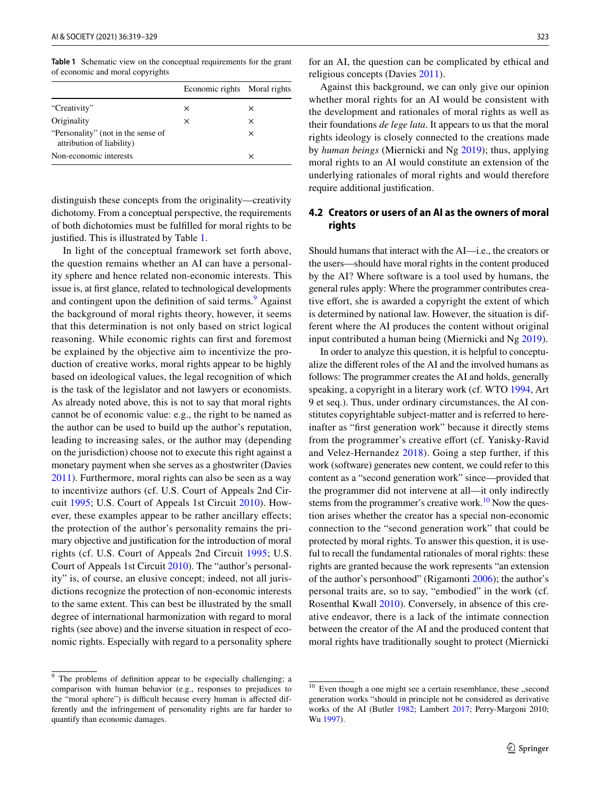<span id="page-4-0"></span>**Table 1** Schematic view on the conceptual requirements for the grant of economic and moral copyrights

|                                                                 | Economic rights Moral rights |          |
|-----------------------------------------------------------------|------------------------------|----------|
| "Creativity"                                                    | ×                            | ×        |
| Originality                                                     | ×                            | $\times$ |
| "Personality" (not in the sense of<br>attribution of liability) |                              | $\times$ |
| Non-economic interests                                          |                              | ×        |

distinguish these concepts from the originality—creativity dichotomy. From a conceptual perspective, the requirements of both dichotomies must be fulflled for moral rights to be justifed. This is illustrated by Table [1](#page-4-0).

In light of the conceptual framework set forth above, the question remains whether an AI can have a personality sphere and hence related non-economic interests. This issue is, at frst glance, related to technological developments and contingent upon the definition of said terms.<sup>[9](#page-4-1)</sup> Against the background of moral rights theory, however, it seems that this determination is not only based on strict logical reasoning. While economic rights can frst and foremost be explained by the objective aim to incentivize the production of creative works, moral rights appear to be highly based on ideological values, the legal recognition of which is the task of the legislator and not lawyers or economists. As already noted above, this is not to say that moral rights cannot be of economic value: e.g., the right to be named as the author can be used to build up the author's reputation, leading to increasing sales, or the author may (depending on the jurisdiction) choose not to execute this right against a monetary payment when she serves as a ghostwriter (Davies [2011](#page-9-21)). Furthermore, moral rights can also be seen as a way to incentivize authors (cf. U.S. Court of Appeals 2nd Circuit [1995;](#page-10-27) U.S. Court of Appeals 1st Circuit [2010\)](#page-10-12). However, these examples appear to be rather ancillary effects; the protection of the author's personality remains the primary objective and justifcation for the introduction of moral rights (cf. U.S. Court of Appeals 2nd Circuit [1995](#page-10-27); U.S. Court of Appeals 1st Circuit [2010\)](#page-10-12). The "author's personality" is, of course, an elusive concept; indeed, not all jurisdictions recognize the protection of non-economic interests to the same extent. This can best be illustrated by the small degree of international harmonization with regard to moral rights (see above) and the inverse situation in respect of economic rights. Especially with regard to a personality sphere

for an AI, the question can be complicated by ethical and religious concepts (Davies [2011\)](#page-9-21).

Against this background, we can only give our opinion whether moral rights for an AI would be consistent with the development and rationales of moral rights as well as their foundations *de lege lata*. It appears to us that the moral rights ideology is closely connected to the creations made by *human beings* (Miernicki and Ng [2019\)](#page-9-4); thus, applying moral rights to an AI would constitute an extension of the underlying rationales of moral rights and would therefore require additional justifcation.

## **4.2 Creators or users of an AI as the owners of moral rights**

Should humans that interact with the AI—i.e., the creators or the users—should have moral rights in the content produced by the AI? Where software is a tool used by humans, the general rules apply: Where the programmer contributes creative effort, she is awarded a copyright the extent of which is determined by national law. However, the situation is different where the AI produces the content without original input contributed a human being (Miernicki and Ng [2019](#page-9-4)).

In order to analyze this question, it is helpful to conceptualize the diferent roles of the AI and the involved humans as follows: The programmer creates the AI and holds, generally speaking, a copyright in a literary work (cf. WTO [1994,](#page-10-28) Art 9 et seq.). Thus, under ordinary circumstances, the AI constitutes copyrightable subject-matter and is referred to hereinafter as "frst generation work" because it directly stems from the programmer's creative efort (cf. Yanisky-Ravid and Velez-Hernandez [2018\)](#page-10-29). Going a step further, if this work (software) generates new content, we could refer to this content as a "second generation work" since—provided that the programmer did not intervene at all—it only indirectly stems from the programmer's creative work.<sup>10</sup> Now the question arises whether the creator has a special non-economic connection to the "second generation work" that could be protected by moral rights. To answer this question, it is useful to recall the fundamental rationales of moral rights: these rights are granted because the work represents "an extension of the author's personhood" (Rigamonti [2006\)](#page-10-7); the author's personal traits are, so to say, "embodied" in the work (cf. Rosenthal Kwall [2010](#page-10-30)). Conversely, in absence of this creative endeavor, there is a lack of the intimate connection between the creator of the AI and the produced content that moral rights have traditionally sought to protect (Miernicki

<span id="page-4-1"></span><sup>&</sup>lt;sup>9</sup> The problems of definition appear to be especially challenging; a comparison with human behavior (e.g., responses to prejudices to the "moral sphere") is difficult because every human is affected differently and the infringement of personality rights are far harder to quantify than economic damages.

<span id="page-4-2"></span> $10$  Even though a one might see a certain resemblance, these "second generation works "should in principle not be considered as derivative works of the AI (Butler [1982;](#page-8-10) Lambert [2017](#page-9-5); Perry-Margoni 2010; Wu [1997](#page-10-22)).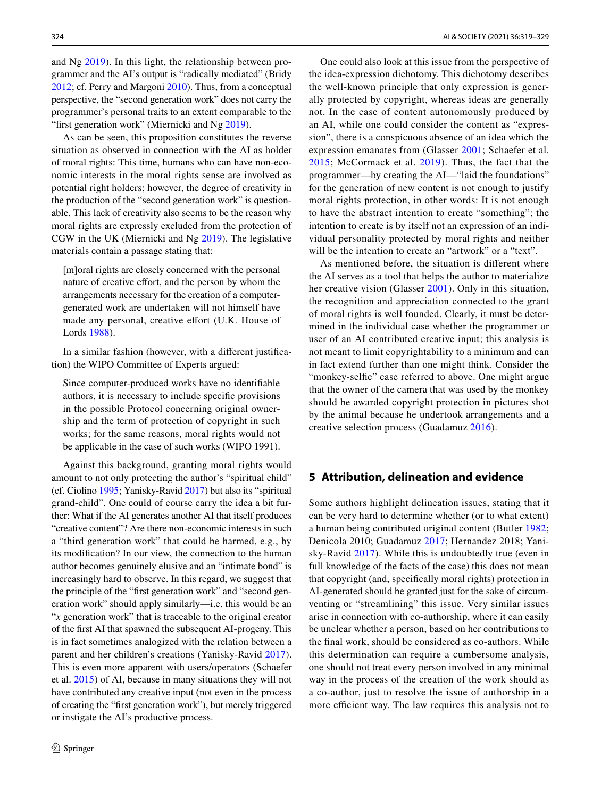and Ng [2019\)](#page-9-4). In this light, the relationship between programmer and the AI's output is "radically mediated" (Bridy [2012;](#page-8-8) cf. Perry and Margoni [2010](#page-10-21)). Thus, from a conceptual perspective, the "second generation work" does not carry the programmer's personal traits to an extent comparable to the "first generation work" (Miernicki and Ng [2019\)](#page-9-4).

As can be seen, this proposition constitutes the reverse situation as observed in connection with the AI as holder of moral rights: This time, humans who can have non-economic interests in the moral rights sense are involved as potential right holders; however, the degree of creativity in the production of the "second generation work" is questionable. This lack of creativity also seems to be the reason why moral rights are expressly excluded from the protection of CGW in the UK (Miernicki and Ng [2019](#page-9-4)). The legislative materials contain a passage stating that:

[m]oral rights are closely concerned with the personal nature of creative effort, and the person by whom the arrangements necessary for the creation of a computergenerated work are undertaken will not himself have made any personal, creative effort (U.K. House of Lords [1988\)](#page-10-31).

In a similar fashion (however, with a diferent justifcation) the WIPO Committee of Experts argued:

Since computer-produced works have no identifable authors, it is necessary to include specifc provisions in the possible Protocol concerning original ownership and the term of protection of copyright in such works; for the same reasons, moral rights would not be applicable in the case of such works (WIPO 1991).

Against this background, granting moral rights would amount to not only protecting the author's "spiritual child" (cf. Ciolino [1995;](#page-8-4) Yanisky-Ravid [2017\)](#page-10-3) but also its "spiritual grand-child". One could of course carry the idea a bit further: What if the AI generates another AI that itself produces "creative content"? Are there non-economic interests in such a "third generation work" that could be harmed, e.g., by its modifcation? In our view, the connection to the human author becomes genuinely elusive and an "intimate bond" is increasingly hard to observe. In this regard, we suggest that the principle of the "frst generation work" and "second generation work" should apply similarly—i.e. this would be an "*x* generation work" that is traceable to the original creator of the frst AI that spawned the subsequent AI-progeny. This is in fact sometimes analogized with the relation between a parent and her children's creations (Yanisky-Ravid [2017](#page-10-3)). This is even more apparent with users/operators (Schaefer et al. [2015\)](#page-10-5) of AI, because in many situations they will not have contributed any creative input (not even in the process of creating the "frst generation work"), but merely triggered or instigate the AI's productive process.

One could also look at this issue from the perspective of the idea-expression dichotomy. This dichotomy describes the well-known principle that only expression is generally protected by copyright, whereas ideas are generally not. In the case of content autonomously produced by an AI, while one could consider the content as "expression", there is a conspicuous absence of an idea which the expression emanates from (Glasser [2001](#page-9-23); Schaefer et al. [2015;](#page-10-5) McCormack et al. [2019](#page-9-27)). Thus, the fact that the programmer—by creating the AI—"laid the foundations" for the generation of new content is not enough to justify moral rights protection, in other words: It is not enough to have the abstract intention to create "something"; the intention to create is by itself not an expression of an individual personality protected by moral rights and neither will be the intention to create an "artwork" or a "text".

As mentioned before, the situation is diferent where the AI serves as a tool that helps the author to materialize her creative vision (Glasser [2001](#page-9-23)). Only in this situation, the recognition and appreciation connected to the grant of moral rights is well founded. Clearly, it must be determined in the individual case whether the programmer or user of an AI contributed creative input; this analysis is not meant to limit copyrightability to a minimum and can in fact extend further than one might think. Consider the "monkey-selfie" case referred to above. One might argue that the owner of the camera that was used by the monkey should be awarded copyright protection in pictures shot by the animal because he undertook arrangements and a creative selection process (Guadamuz [2016\)](#page-9-29).

## **5 Attribution, delineation and evidence**

Some authors highlight delineation issues, stating that it can be very hard to determine whether (or to what extent) a human being contributed original content (Butler [1982](#page-8-10); Denicola 2010; Guadamuz [2017](#page-9-30); Hernandez 2018; Yanisky-Ravid [2017\)](#page-10-3). While this is undoubtedly true (even in full knowledge of the facts of the case) this does not mean that copyright (and, specifcally moral rights) protection in AI-generated should be granted just for the sake of circumventing or "streamlining" this issue. Very similar issues arise in connection with co-authorship, where it can easily be unclear whether a person, based on her contributions to the fnal work, should be considered as co-authors. While this determination can require a cumbersome analysis, one should not treat every person involved in any minimal way in the process of the creation of the work should as a co-author, just to resolve the issue of authorship in a more efficient way. The law requires this analysis not to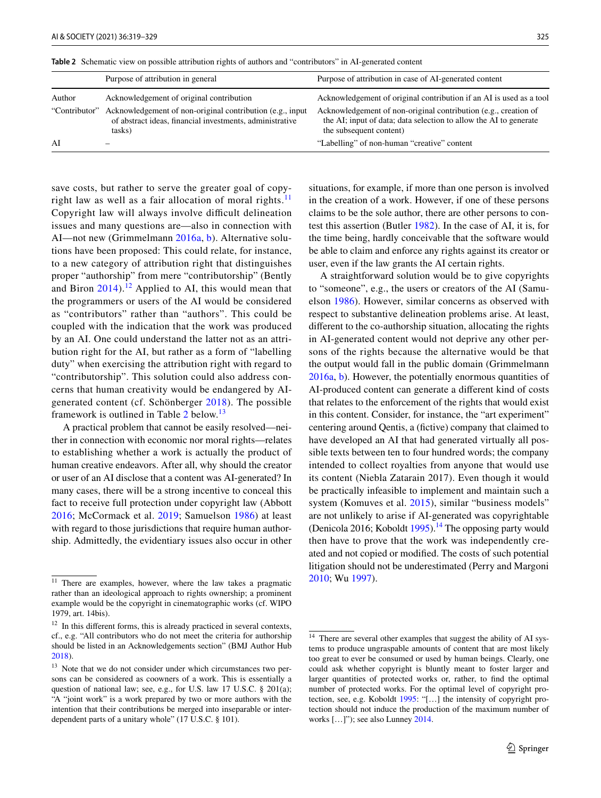|               | Purpose of attribution in general                                                                                               | Purpose of attribution in case of AI-generated content                                                                                                          |
|---------------|---------------------------------------------------------------------------------------------------------------------------------|-----------------------------------------------------------------------------------------------------------------------------------------------------------------|
| Author        | Acknowledgement of original contribution                                                                                        | Acknowledgement of original contribution if an AI is used as a tool                                                                                             |
| "Contributor" | Acknowledgement of non-original contribution (e.g., input<br>of abstract ideas, financial investments, administrative<br>tasks) | Acknowledgement of non-original contribution (e.g., creation of<br>the AI; input of data; data selection to allow the AI to generate<br>the subsequent content) |
| AI            | -                                                                                                                               | "Labelling" of non-human "creative" content                                                                                                                     |

<span id="page-6-2"></span>**Table 2** Schematic view on possible attribution rights of authors and "contributors" in AI-generated content

save costs, but rather to serve the greater goal of copy-right law as well as a fair allocation of moral rights.<sup>[11](#page-6-0)</sup> Copyright law will always involve difficult delineation issues and many questions are—also in connection with AI—not new (Grimmelmann [2016a,](#page-9-2) [b](#page-9-3)). Alternative solutions have been proposed: This could relate, for instance, to a new category of attribution right that distinguishes proper "authorship" from mere "contributorship" (Bently and Biron  $2014$ ).<sup>[12](#page-6-1)</sup> Applied to AI, this would mean that the programmers or users of the AI would be considered as "contributors" rather than "authors". This could be coupled with the indication that the work was produced by an AI. One could understand the latter not as an attribution right for the AI, but rather as a form of "labelling duty" when exercising the attribution right with regard to "contributorship". This solution could also address concerns that human creativity would be endangered by AIgenerated content (cf. Schönberger [2018](#page-10-0)). The possible framework is outlined in Table [2](#page-6-2) below.<sup>[13](#page-6-3)</sup>

A practical problem that cannot be easily resolved—neither in connection with economic nor moral rights—relates to establishing whether a work is actually the product of human creative endeavors. After all, why should the creator or user of an AI disclose that a content was AI-generated? In many cases, there will be a strong incentive to conceal this fact to receive full protection under copyright law (Abbott [2016;](#page-8-2) McCormack et al. [2019](#page-9-27); Samuelson [1986\)](#page-10-32) at least with regard to those jurisdictions that require human authorship. Admittedly, the evidentiary issues also occur in other situations, for example, if more than one person is involved in the creation of a work. However, if one of these persons claims to be the sole author, there are other persons to contest this assertion (Butler [1982\)](#page-8-10). In the case of AI, it is, for the time being, hardly conceivable that the software would be able to claim and enforce any rights against its creator or user, even if the law grants the AI certain rights.

A straightforward solution would be to give copyrights to "someone", e.g., the users or creators of the AI (Samuelson [1986](#page-10-32)). However, similar concerns as observed with respect to substantive delineation problems arise. At least, diferent to the co-authorship situation, allocating the rights in AI-generated content would not deprive any other persons of the rights because the alternative would be that the output would fall in the public domain (Grimmelmann [2016a,](#page-9-2) [b](#page-9-3)). However, the potentially enormous quantities of AI-produced content can generate a diferent kind of costs that relates to the enforcement of the rights that would exist in this content. Consider, for instance, the "art experiment" centering around Qentis, a (fictive) company that claimed to have developed an AI that had generated virtually all possible texts between ten to four hundred words; the company intended to collect royalties from anyone that would use its content (Niebla Zatarain 2017). Even though it would be practically infeasible to implement and maintain such a system (Komuves et al. [2015\)](#page-9-31), similar "business models" are not unlikely to arise if AI-generated was copyrightable (Denicola 2016; Koboldt [1995](#page-9-32)).<sup>14</sup> The opposing party would then have to prove that the work was independently created and not copied or modifed. The costs of such potential litigation should not be underestimated (Perry and Margoni [2010](#page-10-21); Wu [1997](#page-10-22)).

<span id="page-6-0"></span><sup>&</sup>lt;sup>11</sup> There are examples, however, where the law takes a pragmatic rather than an ideological approach to rights ownership; a prominent example would be the copyright in cinematographic works (cf. WIPO 1979, art. 14bis).

<span id="page-6-1"></span><sup>&</sup>lt;sup>12</sup> In this different forms, this is already practiced in several contexts, cf., e.g. "All contributors who do not meet the criteria for authorship should be listed in an Acknowledgements section" (BMJ Author Hub [2018](#page-8-12)).

<span id="page-6-3"></span><sup>&</sup>lt;sup>13</sup> Note that we do not consider under which circumstances two persons can be considered as coowners of a work. This is essentially a question of national law; see, e.g., for U.S. law 17 U.S.C. § 201(a); "A "joint work" is a work prepared by two or more authors with the intention that their contributions be merged into inseparable or interdependent parts of a unitary whole" (17 U.S.C. § 101).

<span id="page-6-4"></span><sup>&</sup>lt;sup>14</sup> There are several other examples that suggest the ability of AI systems to produce ungraspable amounts of content that are most likely too great to ever be consumed or used by human beings. Clearly, one could ask whether copyright is bluntly meant to foster larger and larger quantities of protected works or, rather, to fnd the optimal number of protected works. For the optimal level of copyright protection, see, e.g. Koboldt [1995:](#page-9-32) "[…] the intensity of copyright protection should not induce the production of the maximum number of works […]"); see also Lunney [2014.](#page-9-33)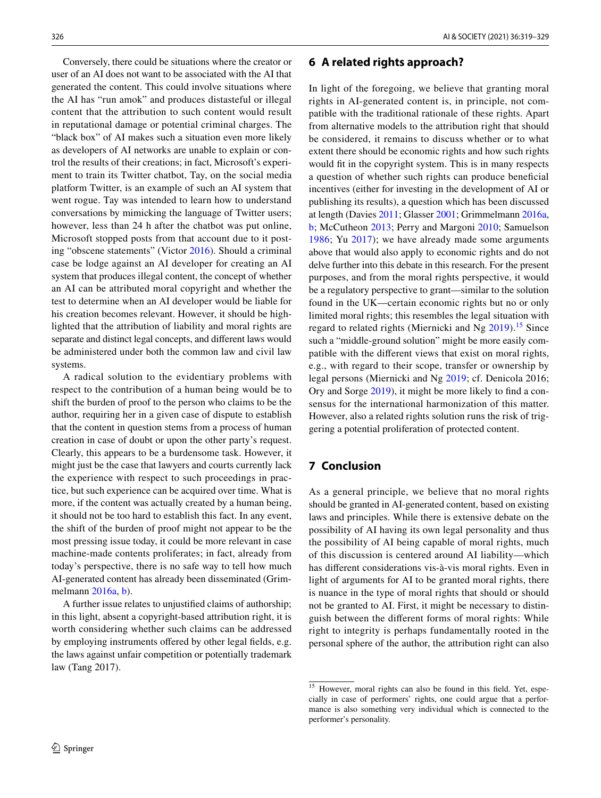Conversely, there could be situations where the creator or user of an AI does not want to be associated with the AI that generated the content. This could involve situations where the AI has "run amok" and produces distasteful or illegal content that the attribution to such content would result in reputational damage or potential criminal charges. The "black box" of AI makes such a situation even more likely as developers of AI networks are unable to explain or control the results of their creations; in fact, Microsoft's experiment to train its Twitter chatbot, Tay, on the social media platform Twitter, is an example of such an AI system that went rogue. Tay was intended to learn how to understand conversations by mimicking the language of Twitter users; however, less than 24 h after the chatbot was put online, Microsoft stopped posts from that account due to it posting "obscene statements" (Victor [2016](#page-10-33)). Should a criminal case be lodge against an AI developer for creating an AI system that produces illegal content, the concept of whether an AI can be attributed moral copyright and whether the test to determine when an AI developer would be liable for his creation becomes relevant. However, it should be highlighted that the attribution of liability and moral rights are separate and distinct legal concepts, and diferent laws would be administered under both the common law and civil law systems.

A radical solution to the evidentiary problems with respect to the contribution of a human being would be to shift the burden of proof to the person who claims to be the author, requiring her in a given case of dispute to establish that the content in question stems from a process of human creation in case of doubt or upon the other party's request. Clearly, this appears to be a burdensome task. However, it might just be the case that lawyers and courts currently lack the experience with respect to such proceedings in practice, but such experience can be acquired over time. What is more, if the content was actually created by a human being, it should not be too hard to establish this fact. In any event, the shift of the burden of proof might not appear to be the most pressing issue today, it could be more relevant in case machine-made contents proliferates; in fact, already from today's perspective, there is no safe way to tell how much AI-generated content has already been disseminated (Grimmelmann [2016a,](#page-9-2) [b\)](#page-9-3).

A further issue relates to unjustifed claims of authorship; in this light, absent a copyright-based attribution right, it is worth considering whether such claims can be addressed by employing instruments offered by other legal fields, e.g. the laws against unfair competition or potentially trademark law (Tang 2017).

## **6 A related rights approach?**

In light of the foregoing, we believe that granting moral rights in AI-generated content is, in principle, not compatible with the traditional rationale of these rights. Apart from alternative models to the attribution right that should be considered, it remains to discuss whether or to what extent there should be economic rights and how such rights would fit in the copyright system. This is in many respects a question of whether such rights can produce benefcial incentives (either for investing in the development of AI or publishing its results), a question which has been discussed at length (Davies [2011](#page-9-21); Glasser [2001](#page-9-23); Grimmelmann [2016a,](#page-9-2) [b](#page-9-3); McCutheon [2013;](#page-9-20) Perry and Margoni [2010](#page-10-21); Samuelson [1986;](#page-10-32) Yu [2017](#page-10-23)); we have already made some arguments above that would also apply to economic rights and do not delve further into this debate in this research. For the present purposes, and from the moral rights perspective, it would be a regulatory perspective to grant—similar to the solution found in the UK—certain economic rights but no or only limited moral rights; this resembles the legal situation with regard to related rights (Miernicki and Ng  $2019$ ).<sup>15</sup> Since such a "middle-ground solution" might be more easily compatible with the diferent views that exist on moral rights, e.g., with regard to their scope, transfer or ownership by legal persons (Miernicki and Ng [2019](#page-9-4); cf. Denicola 2016; Ory and Sorge [2019\)](#page-9-34), it might be more likely to fnd a consensus for the international harmonization of this matter. However, also a related rights solution runs the risk of triggering a potential proliferation of protected content.

## **7 Conclusion**

As a general principle, we believe that no moral rights should be granted in AI-generated content, based on existing laws and principles. While there is extensive debate on the possibility of AI having its own legal personality and thus the possibility of AI being capable of moral rights, much of this discussion is centered around AI liability—which has diferent considerations vis-à-vis moral rights. Even in light of arguments for AI to be granted moral rights, there is nuance in the type of moral rights that should or should not be granted to AI. First, it might be necessary to distinguish between the diferent forms of moral rights: While right to integrity is perhaps fundamentally rooted in the personal sphere of the author, the attribution right can also

<span id="page-7-0"></span> $15$  However, moral rights can also be found in this field. Yet, especially in case of performers' rights, one could argue that a performance is also something very individual which is connected to the performer's personality.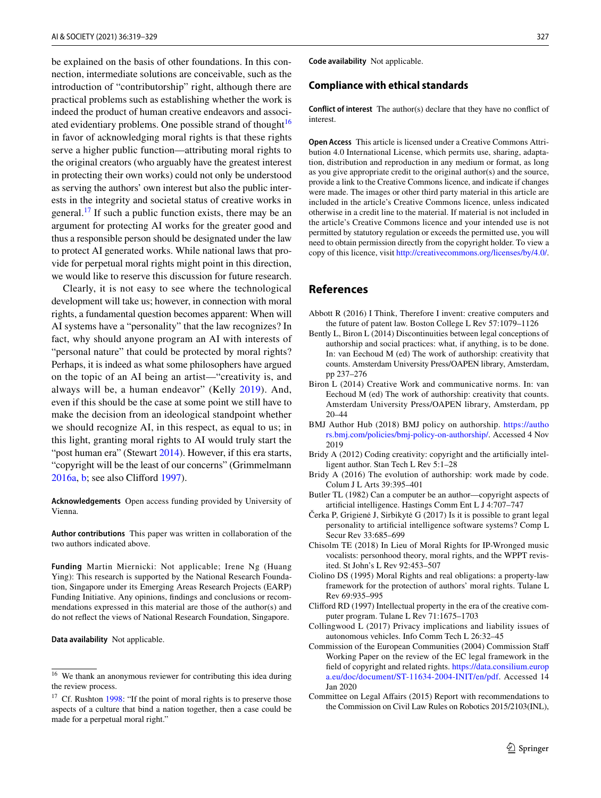be explained on the basis of other foundations. In this connection, intermediate solutions are conceivable, such as the introduction of "contributorship" right, although there are practical problems such as establishing whether the work is indeed the product of human creative endeavors and associ-ated evidentiary problems. One possible strand of thought<sup>[16](#page-8-13)</sup> in favor of acknowledging moral rights is that these rights serve a higher public function—attributing moral rights to the original creators (who arguably have the greatest interest in protecting their own works) could not only be understood as serving the authors' own interest but also the public interests in the integrity and societal status of creative works in general.<sup>[17](#page-8-14)</sup> If such a public function exists, there may be an argument for protecting AI works for the greater good and thus a responsible person should be designated under the law to protect AI generated works. While national laws that provide for perpetual moral rights might point in this direction, we would like to reserve this discussion for future research.

Clearly, it is not easy to see where the technological development will take us; however, in connection with moral rights, a fundamental question becomes apparent: When will AI systems have a "personality" that the law recognizes? In fact, why should anyone program an AI with interests of "personal nature" that could be protected by moral rights? Perhaps, it is indeed as what some philosophers have argued on the topic of an AI being an artist—"creativity is, and always will be, a human endeavor" (Kelly [2019\)](#page-9-35). And, even if this should be the case at some point we still have to make the decision from an ideological standpoint whether we should recognize AI, in this respect, as equal to us; in this light, granting moral rights to AI would truly start the "post human era" (Stewart [2014\)](#page-10-4). However, if this era starts, "copyright will be the least of our concerns" (Grimmelmann [2016a,](#page-9-2) [b;](#page-9-3) see also Cliford [1997\)](#page-8-7).

**Acknowledgements** Open access funding provided by University of Vienna.

**Author contributions** This paper was written in collaboration of the two authors indicated above.

**Funding** Martin Miernicki: Not applicable; Irene Ng (Huang Ying): This research is supported by the National Research Foundation, Singapore under its Emerging Areas Research Projects (EARP) Funding Initiative. Any opinions, fndings and conclusions or recommendations expressed in this material are those of the author(s) and do not refect the views of National Research Foundation, Singapore.

**Data availability** Not applicable.

**Code availability** Not applicable.

#### **Compliance with ethical standards**

**Conflict of interest** The author(s) declare that they have no confict of interest.

**Open Access** This article is licensed under a Creative Commons Attribution 4.0 International License, which permits use, sharing, adaptation, distribution and reproduction in any medium or format, as long as you give appropriate credit to the original author(s) and the source, provide a link to the Creative Commons licence, and indicate if changes were made. The images or other third party material in this article are included in the article's Creative Commons licence, unless indicated otherwise in a credit line to the material. If material is not included in the article's Creative Commons licence and your intended use is not permitted by statutory regulation or exceeds the permitted use, you will need to obtain permission directly from the copyright holder. To view a copy of this licence, visit<http://creativecommons.org/licenses/by/4.0/>.

## **References**

- <span id="page-8-2"></span>Abbott R (2016) I Think, Therefore I invent: creative computers and the future of patent law. Boston College L Rev 57:1079–1126
- <span id="page-8-11"></span>Bently L, Biron L (2014) Discontinuities between legal conceptions of authorship and social practices: what, if anything, is to be done. In: van Eechoud M (ed) The work of authorship: creativity that counts. Amsterdam University Press/OAPEN library, Amsterdam, pp 237–276
- <span id="page-8-3"></span>Biron L (2014) Creative Work and communicative norms. In: van Eechoud M (ed) The work of authorship: creativity that counts. Amsterdam University Press/OAPEN library, Amsterdam, pp 20–44
- <span id="page-8-12"></span>BMJ Author Hub (2018) BMJ policy on authorship. [https://autho](https://authors.bmj.com/policies/bmj-policy-on-authorship/) [rs.bmj.com/policies/bmj-policy-on-authorship/](https://authors.bmj.com/policies/bmj-policy-on-authorship/). Accessed 4 Nov 2019
- <span id="page-8-8"></span>Bridy A (2012) Coding creativity: copyright and the artifcially intelligent author. Stan Tech L Rev 5:1–28
- <span id="page-8-0"></span>Bridy A (2016) The evolution of authorship: work made by code. Colum J L Arts 39:395–401
- <span id="page-8-10"></span>Butler TL (1982) Can a computer be an author—copyright aspects of artifcial intelligence. Hastings Comm Ent L J 4:707–747
- Čerka P, Grigienė J, Sirbikytė G (2017) Is it is possible to grant legal personality to artifcial intelligence software systems? Comp L Secur Rev 33:685–699
- <span id="page-8-6"></span>Chisolm TE (2018) In Lieu of Moral Rights for IP-Wronged music vocalists: personhood theory, moral rights, and the WPPT revisited. St John's L Rev 92:453–507
- <span id="page-8-4"></span>Ciolino DS (1995) Moral Rights and real obligations: a property-law framework for the protection of authors' moral rights. Tulane L Rev 69:935–995
- <span id="page-8-7"></span>Cliford RD (1997) Intellectual property in the era of the creative computer program. Tulane L Rev 71:1675–1703
- <span id="page-8-1"></span>Collingwood L (2017) Privacy implications and liability issues of autonomous vehicles. Info Comm Tech L 26:32–45
- <span id="page-8-5"></span>Commission of the European Communities (2004) Commission Staf Working Paper on the review of the EC legal framework in the feld of copyright and related rights. [https://data.consilium.europ](http://data.consilium.europa.eu/doc/document/ST-11634-2004-INIT/en/pdf) [a.eu/doc/document/ST-11634-2004-INIT/en/pdf](http://data.consilium.europa.eu/doc/document/ST-11634-2004-INIT/en/pdf). Accessed 14 Jan 2020
- <span id="page-8-9"></span>Committee on Legal Afairs (2015) Report with recommendations to the Commission on Civil Law Rules on Robotics 2015/2103(INL),

<span id="page-8-13"></span><sup>&</sup>lt;sup>16</sup> We thank an anonymous reviewer for contributing this idea during the review process.

<span id="page-8-14"></span><sup>&</sup>lt;sup>17</sup> Cf. Rushton [1998:](#page-10-34) "If the point of moral rights is to preserve those aspects of a culture that bind a nation together, then a case could be made for a perpetual moral right."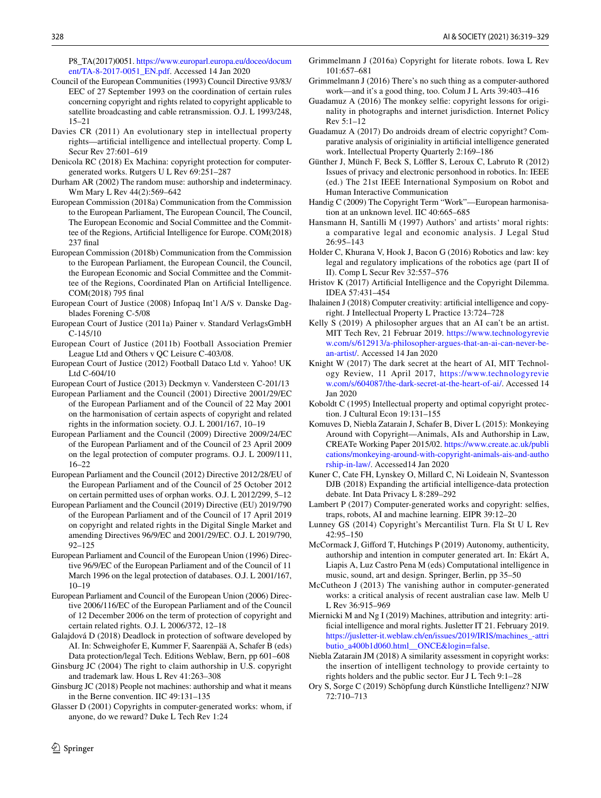P8\_TA(2017)0051. [https://www.europarl.europa.eu/doceo/docum](http://www.europarl.europa.eu/doceo/document/TA-8-2017-0051_EN.pdf) [ent/TA-8-2017-0051\\_EN.pdf](http://www.europarl.europa.eu/doceo/document/TA-8-2017-0051_EN.pdf). Accessed 14 Jan 2020

- <span id="page-9-7"></span>Council of the European Communities (1993) Council Directive 93/83/ EEC of 27 September 1993 on the coordination of certain rules concerning copyright and rights related to copyright applicable to satellite broadcasting and cable retransmission. O.J. L 1993/248, 15–21
- <span id="page-9-21"></span>Davies CR (2011) An evolutionary step in intellectual property rights—artifcial intelligence and intellectual property. Comp L Secur Rev 27:601–619
- Denicola RC (2018) Ex Machina: copyright protection for computergenerated works. Rutgers U L Rev 69:251–287
- Durham AR (2002) The random muse: authorship and indeterminacy. Wm Mary L Rev 44(2):569–642
- European Commission (2018a) Communication from the Commission to the European Parliament, The European Council, The Council, The European Economic and Social Committee and the Committee of the Regions, Artifcial Intelligence for Europe. COM(2018) 237 fnal
- European Commission (2018b) Communication from the Commission to the European Parliament, the European Council, the Council, the European Economic and Social Committee and the Committee of the Regions, Coordinated Plan on Artifcial Intelligence. COM(2018) 795 fnal
- <span id="page-9-17"></span>European Court of Justice (2008) Infopaq Int'l A/S v. Danske Dagblades Forening C-5/08
- European Court of Justice (2011a) Painer v. Standard VerlagsGmbH C-145/10
- European Court of Justice (2011b) Football Association Premier League Ltd and Others v QC Leisure C-403/08.
- <span id="page-9-16"></span>European Court of Justice (2012) Football Dataco Ltd v. Yahoo! UK Ltd C-604/10
- European Court of Justice (2013) Deckmyn v. Vandersteen C-201/13
- <span id="page-9-10"></span>European Parliament and the Council (2001) Directive 2001/29/EC of the European Parliament and of the Council of 22 May 2001 on the harmonisation of certain aspects of copyright and related rights in the information society. O.J. L 2001/167, 10–19
- <span id="page-9-11"></span>European Parliament and the Council (2009) Directive 2009/24/EC of the European Parliament and of the Council of 23 April 2009 on the legal protection of computer programs. O.J. L 2009/111, 16–22
- <span id="page-9-12"></span>European Parliament and the Council (2012) Directive 2012/28/EU of the European Parliament and of the Council of 25 October 2012 on certain permitted uses of orphan works. O.J. L 2012/299, 5–12
- <span id="page-9-13"></span>European Parliament and the Council (2019) Directive (EU) 2019/790 of the European Parliament and of the Council of 17 April 2019 on copyright and related rights in the Digital Single Market and amending Directives 96/9/EC and 2001/29/EC. O.J. L 2019/790, 92–125
- <span id="page-9-8"></span>European Parliament and Council of the European Union (1996) Directive 96/9/EC of the European Parliament and of the Council of 11 March 1996 on the legal protection of databases. O.J. L 2001/167, 10–19
- <span id="page-9-9"></span>European Parliament and Council of the European Union (2006) Directive 2006/116/EC of the European Parliament and of the Council of 12 December 2006 on the term of protection of copyright and certain related rights. O.J. L 2006/372, 12–18
- <span id="page-9-22"></span>Galajdová D (2018) Deadlock in protection of software developed by AI. In: Schweighofer E, Kummer F, Saarenpää A, Schafer B (eds) Data protection/legal Tech. Editions Weblaw, Bern, pp 601–608
- <span id="page-9-6"></span>Ginsburg JC (2004) The right to claim authorship in U.S. copyright and trademark law. Hous L Rev 41:263–308
- <span id="page-9-15"></span>Ginsburg JC (2018) People not machines: authorship and what it means in the Berne convention. IIC 49:131–135
- <span id="page-9-23"></span>Glasser D (2001) Copyrights in computer-generated works: whom, if anyone, do we reward? Duke L Tech Rev 1:24
- <span id="page-9-2"></span>Grimmelmann J (2016a) Copyright for literate robots. Iowa L Rev 101:657–681
- <span id="page-9-3"></span>Grimmelmann J (2016) There's no such thing as a computer-authored work—and it's a good thing, too. Colum J L Arts 39:403–416
- <span id="page-9-29"></span>Guadamuz A (2016) The monkey selfe: copyright lessons for originality in photographs and internet jurisdiction. Internet Policy Rev 5:1–12
- <span id="page-9-30"></span>Guadamuz A (2017) Do androids dream of electric copyright? Comparative analysis of originiality in artifcial intelligence generated work. Intellectual Property Quarterly 2:169–186
- <span id="page-9-26"></span>Günther J, Münch F, Beck S, Löffler S, Leroux C, Labruto R (2012) Issues of privacy and electronic personhood in robotics. In: IEEE (ed.) The 21st IEEE International Symposium on Robot and Human Interactive Communication
- <span id="page-9-18"></span>Handig C (2009) The Copyright Term "Work"—European harmonisation at an unknown level. IIC 40:665–685
- <span id="page-9-14"></span>Hansmann H, Santilli M (1997) Authors' and artists' moral rights: a comparative legal and economic analysis. J Legal Stud 26:95–143
- <span id="page-9-28"></span>Holder C, Khurana V, Hook J, Bacon G (2016) Robotics and law: key legal and regulatory implications of the robotics age (part II of II). Comp L Secur Rev 32:557–576
- <span id="page-9-24"></span>Hristov K (2017) Artifcial Intelligence and the Copyright Dilemma. IDEA 57:431–454
- <span id="page-9-19"></span>Ihalainen J (2018) Computer creativity: artifcial intelligence and copyright. J Intellectual Property L Practice 13:724–728
- <span id="page-9-35"></span>Kelly S (2019) A philosopher argues that an AI can't be an artist. MIT Tech Rev, 21 Februar 2019. [https://www.technologyrevie](https://www.technologyreview.com/s/612913/a-philosopher-argues-that-an-ai-can-never-be-an-artist/) [w.com/s/612913/a-philosopher-argues-that-an-ai-can-never-be](https://www.technologyreview.com/s/612913/a-philosopher-argues-that-an-ai-can-never-be-an-artist/)[an-artist/.](https://www.technologyreview.com/s/612913/a-philosopher-argues-that-an-ai-can-never-be-an-artist/) Accessed 14 Jan 2020
- <span id="page-9-25"></span>Knight W (2017) The dark secret at the heart of AI, MIT Technology Review, 11 April 2017, [https://www.technologyrevie](https://www.technologyreview.com/s/604087/the-dark-secret-at-the-heart-of-ai/) [w.com/s/604087/the-dark-secret-at-the-heart-of-ai/](https://www.technologyreview.com/s/604087/the-dark-secret-at-the-heart-of-ai/). Accessed 14 Jan 2020
- <span id="page-9-32"></span>Koboldt C (1995) Intellectual property and optimal copyright protection. J Cultural Econ 19:131–155
- <span id="page-9-31"></span>Komuves D, Niebla Zatarain J, Schafer B, Diver L (2015): Monkeying Around with Copyright—Animals, AIs and Authorship in Law, CREATe Working Paper 2015/02. [https://www.create.ac.uk/publi](https://www.create.ac.uk/publications/monkeying-around-with-copyright-animals-ais-and-authorship-in-law/) [cations/monkeying-around-with-copyright-animals-ais-and-autho](https://www.create.ac.uk/publications/monkeying-around-with-copyright-animals-ais-and-authorship-in-law/) [rship-in-law/](https://www.create.ac.uk/publications/monkeying-around-with-copyright-animals-ais-and-authorship-in-law/). Accessed14 Jan 2020
- <span id="page-9-1"></span>Kuner C, Cate FH, Lynskey O, Millard C, Ni Loideain N, Svantesson DJB (2018) Expanding the artifcial intelligence-data protection debate. Int Data Privacy L 8:289–292
- <span id="page-9-5"></span>Lambert P (2017) Computer-generated works and copyright: selfes, traps, robots, AI and machine learning. EIPR 39:12–20
- <span id="page-9-33"></span>Lunney GS (2014) Copyright's Mercantilist Turn. Fla St U L Rev 42:95–150
- <span id="page-9-27"></span>McCormack J, Giford T, Hutchings P (2019) Autonomy, authenticity, authorship and intention in computer generated art. In: Ekárt A, Liapis A, Luz Castro Pena M (eds) Computational intelligence in music, sound, art and design. Springer, Berlin, pp 35–50
- <span id="page-9-20"></span>McCutheon J (2013) The vanishing author in computer-generated works: a critical analysis of recent australian case law. Melb U L Rev 36:915–969
- <span id="page-9-4"></span>Miernicki M and Ng I (2019) Machines, attribution and integrity: artifcial intelligence and moral rights. Jusletter IT 21. February 2019. [https://jusletter-it.weblaw.ch/en/issues/2019/IRIS/machines\\_-attri](https://jusletter-it.weblaw.ch/en/issues/2019/IRIS/machines_-attributio_a400b1d060.html__ONCE&login=false) [butio\\_a400b1d060.html\\_\\_ONCE&login=false.](https://jusletter-it.weblaw.ch/en/issues/2019/IRIS/machines_-attributio_a400b1d060.html__ONCE&login=false)
- <span id="page-9-0"></span>Niebla Zatarain JM (2018) A similarity assessment in copyright works: the insertion of intelligent technology to provide certainty to rights holders and the public sector. Eur J L Tech 9:1–28
- <span id="page-9-34"></span>Ory S, Sorge C (2019) Schöpfung durch Künstliche Intelligenz? NJW 72:710–713